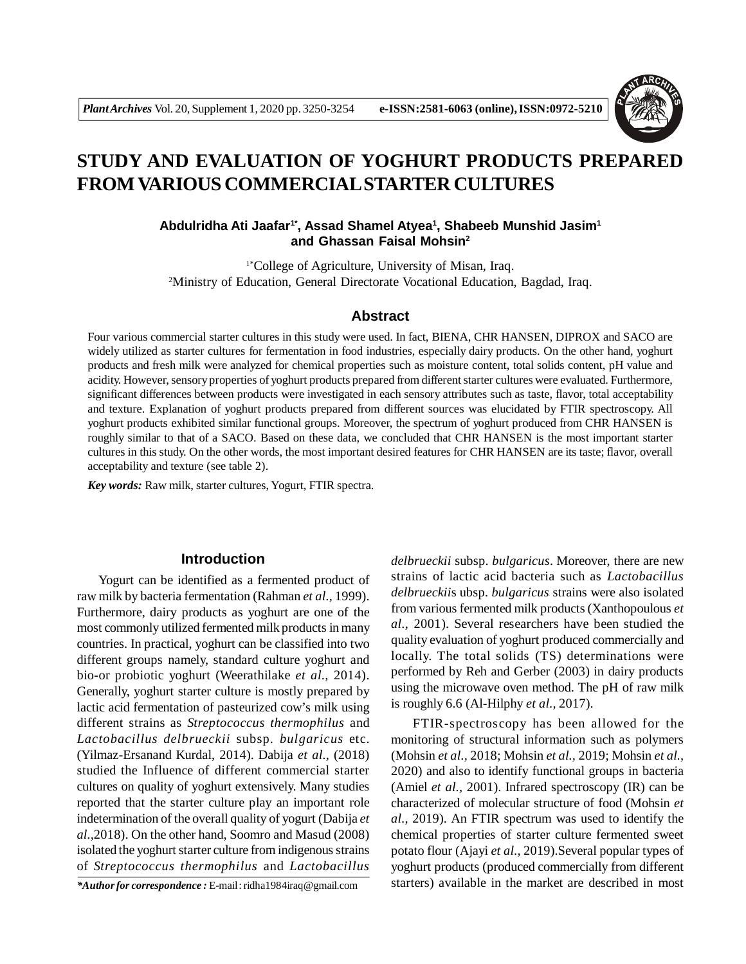

# **STUDY AND EVALUATION OF YOGHURT PRODUCTS PREPARED FROM VARIOUS COMMERCIAL STARTER CULTURES**

## **Abdulridha Ati Jaafar1\*, Assad Shamel Atyea<sup>1</sup> , Shabeeb Munshid Jasim<sup>1</sup> and Ghassan Faisal Mohsin<sup>2</sup>**

1\*College of Agriculture, University of Misan, Iraq. <sup>2</sup>Ministry of Education, General Directorate Vocational Education, Bagdad, Iraq.

## **Abstract**

Four various commercial starter cultures in this study were used. In fact, BIENA, CHR HANSEN, DIPROX and SACO are widely utilized as starter cultures for fermentation in food industries, especially dairy products. On the other hand, yoghurt products and fresh milk were analyzed for chemical properties such as moisture content, total solids content, pH value and acidity. However, sensory properties of yoghurt products prepared from different starter cultures were evaluated. Furthermore, significant differences between products were investigated in each sensory attributes such as taste, flavor, total acceptability and texture. Explanation of yoghurt products prepared from different sources was elucidated by FTIR spectroscopy. All yoghurt products exhibited similar functional groups. Moreover, the spectrum of yoghurt produced from CHR HANSEN is roughly similar to that of a SACO. Based on these data, we concluded that CHR HANSEN is the most important starter cultures in this study. On the other words, the most important desired features for CHR HANSEN are its taste; flavor, overall acceptability and texture (see table 2).

*Key words:* Raw milk, starter cultures, Yogurt, FTIR spectra.

## **Introduction**

Yogurt can be identified as a fermented product of raw milk by bacteria fermentation (Rahman *et al.,* 1999). Furthermore, dairy products as yoghurt are one of the most commonly utilized fermented milk products in many countries. In practical, yoghurt can be classified into two different groups namely, standard culture yoghurt and bio-or probiotic yoghurt (Weerathilake *et al.,* 2014). Generally, yoghurt starter culture is mostly prepared by lactic acid fermentation of pasteurized cow's milk using different strains as *Streptococcus thermophilus* and *Lactobacillus delbrueckii* subsp. *bulgaricus* etc. (Yilmaz-Ersanand Kurdal, 2014). Dabija *et al.,* (2018) studied the Influence of different commercial starter cultures on quality of yoghurt extensively. Many studies reported that the starter culture play an important role indetermination of the overall quality of yogurt (Dabija *et al.,*2018). On the other hand, Soomro and Masud (2008) isolated the yoghurt starter culture from indigenous strains of *Streptococcus thermophilus* and *Lactobacillus*

*\*Author for correspondence :* E-mail : ridha1984iraq@gmail.com

*delbrueckii* subsp. *bulgaricus*. Moreover, there are new strains of lactic acid bacteria such as *Lactobacillus delbrueckii*s ubsp. *bulgaricus* strains were also isolated from various fermented milk products (Xanthopoulous *et al.,* 2001). Several researchers have been studied the quality evaluation of yoghurt produced commercially and locally. The total solids (TS) determinations were performed by Reh and Gerber (2003) in dairy products using the microwave oven method. The pH of raw milk is roughly 6.6 (Al-Hilphy *et al.,* 2017).

FTIR-spectroscopy has been allowed for the monitoring of structural information such as polymers (Mohsin *et al.,* 2018; Mohsin *et al.,* 2019; Mohsin *et al.,* 2020) and also to identify functional groups in bacteria (Amiel *et al.,* 2001). Infrared spectroscopy (IR) can be characterized of molecular structure of food (Mohsin *et al.,* 2019). An FTIR spectrum was used to identify the chemical properties of starter culture fermented sweet potato flour (Ajayi *et al.,* 2019).Several popular types of yoghurt products (produced commercially from different starters) available in the market are described in most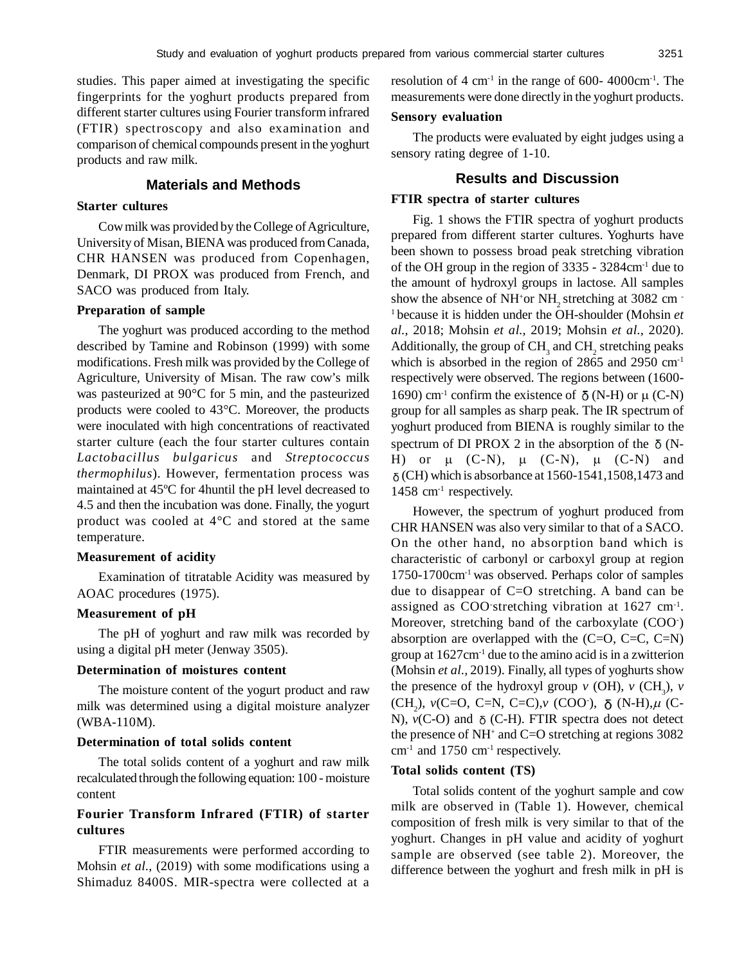studies. This paper aimed at investigating the specific fingerprints for the yoghurt products prepared from different starter cultures using Fourier transform infrared (FTIR) spectroscopy and also examination and comparison of chemical compounds present in the yoghurt products and raw milk.

## **Materials and Methods**

#### **Starter cultures**

Cow milk was provided by the College of Agriculture, University of Misan, BIENA was produced from Canada, CHR HANSEN was produced from Copenhagen, Denmark, DI PROX was produced from French, and SACO was produced from Italy.

#### **Preparation of sample**

The yoghurt was produced according to the method described by Tamine and Robinson (1999) with some modifications. Fresh milk was provided by the College of Agriculture, University of Misan. The raw cow's milk was pasteurized at 90°C for 5 min, and the pasteurized products were cooled to 43°C. Moreover, the products were inoculated with high concentrations of reactivated starter culture (each the four starter cultures contain *Lactobacillus bulgaricus* and *Streptococcus thermophilus*). However, fermentation process was maintained at 45ºC for 4huntil the pH level decreased to 4.5 and then the incubation was done. Finally, the yogurt product was cooled at 4°C and stored at the same temperature.

#### **Measurement of acidity**

Examination of titratable Acidity was measured by AOAC procedures (1975).

#### **Measurement of pH**

The pH of yoghurt and raw milk was recorded by using a digital pH meter (Jenway 3505).

## **Determination of moistures content**

The moisture content of the yogurt product and raw milk was determined using a digital moisture analyzer (WBA-110M).

## **Determination of total solids content**

The total solids content of a yoghurt and raw milk recalculated through the following equation: 100 - moisture content

## **Fourier Transform Infrared (FTIR) of starter cultures**

FTIR measurements were performed according to Mohsin *et al.*, (2019) with some modifications using a Shimaduz 8400S. MIR-spectra were collected at a resolution of  $4 \text{ cm}^{-1}$  in the range of 600- 4000cm<sup>-1</sup>. The measurements were done directly in the yoghurt products.

#### **Sensory evaluation**

The products were evaluated by eight judges using a sensory rating degree of 1-10.

## **Results and Discussion**

## **FTIR spectra of starter cultures**

Fig. 1 shows the FTIR spectra of yoghurt products prepared from different starter cultures. Yoghurts have been shown to possess broad peak stretching vibration of the OH group in the region of 3335 - 3284cm-1 due to the amount of hydroxyl groups in lactose. All samples show the absence of NH<sup>+</sup>or NH<sub>2</sub> stretching at 3082 cm  $\cdot$ <sup>1</sup>because it is hidden under the OH-shoulder (Mohsin *et al.,* 2018; Mohsin *et al.,* 2019; Mohsin *et al.,* 2020). Additionally, the group of  $\text{CH}_3$  and  $\text{CH}_2$  stretching peaks which is absorbed in the region of 2865 and 2950 cm<sup>-1</sup> respectively were observed. The regions between (1600- 1690) cm<sup>-1</sup> confirm the existence of  $\delta$  (N-H) or  $\mu$  (C-N) group for all samples as sharp peak. The IR spectrum of yoghurt produced from BIENA is roughly similar to the spectrum of DI PROX 2 in the absorption of the  $\delta$  (N-H) or  $\mu$  (C-N),  $\mu$  (C-N),  $\mu$  (C-N) and  $\delta$  (CH) which is absorbance at 1560-1541,1508,1473 and  $1458$  cm<sup>-1</sup> respectively.

However, the spectrum of yoghurt produced from CHR HANSEN was also very similar to that of a SACO. On the other hand, no absorption band which is characteristic of carbonyl or carboxyl group at region 1750-1700cm-1 was observed. Perhaps color of samples due to disappear of C=O stretching. A band can be assigned as COO stretching vibration at 1627 cm<sup>-1</sup>. Moreover, stretching band of the carboxylate (COO- ) absorption are overlapped with the  $(C=O, C=C, C=N)$ group at  $1627 \text{cm}^{-1}$  due to the amino acid is in a zwitterion (Mohsin *et al.,* 2019). Finally, all types of yoghurts show the presence of the hydroxyl group  $\nu$  (OH),  $\nu$  (CH<sub>3</sub>),  $\nu$ (CH<sub>2</sub>), *v*(C=O, C=N, C=C),*v* (COO<sup>-</sup>), δ (N-H), $\mu$  (C-N),  $v(C-O)$  and  $\delta$  (C-H). FTIR spectra does not detect the presence of NH<sup>+</sup> and C=O stretching at regions 3082  $cm<sup>-1</sup>$  and 1750  $cm<sup>-1</sup>$  respectively.

#### **Total solids content (TS)**

Total solids content of the yoghurt sample and cow milk are observed in (Table 1). However, chemical composition of fresh milk is very similar to that of the yoghurt. Changes in pH value and acidity of yoghurt sample are observed (see table 2). Moreover, the difference between the yoghurt and fresh milk in pH is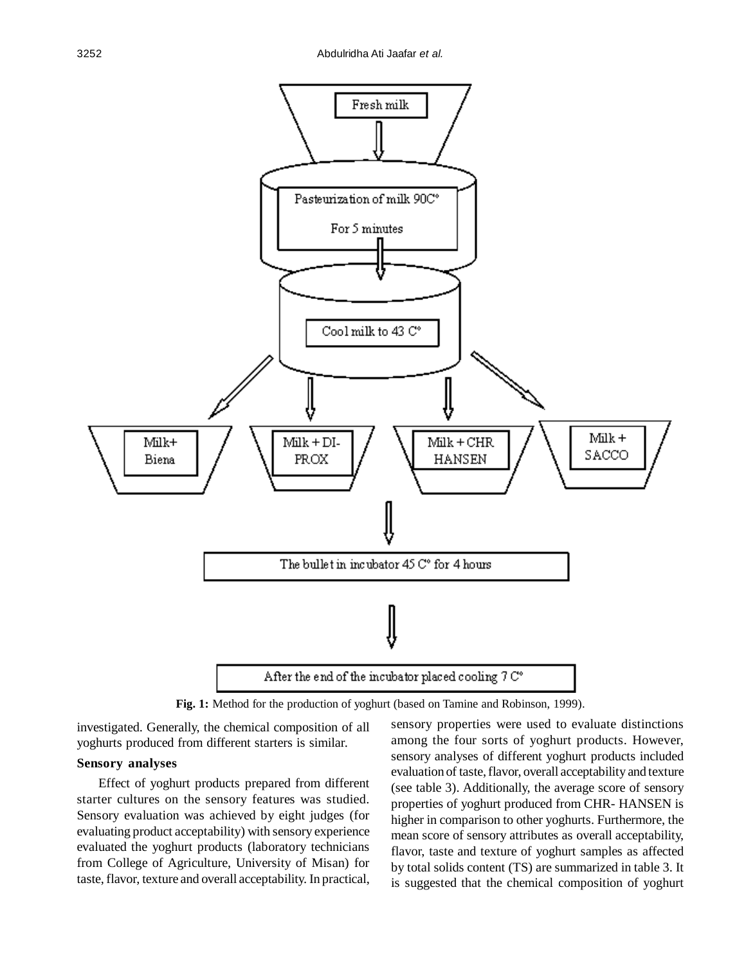

**Fig. 1:** Method for the production of yoghurt (based on Tamine and Robinson, 1999).

investigated. Generally, the chemical composition of all yoghurts produced from different starters is similar.

# **Sensory analyses**

Effect of yoghurt products prepared from different starter cultures on the sensory features was studied. Sensory evaluation was achieved by eight judges (for evaluating product acceptability) with sensory experience evaluated the yoghurt products (laboratory technicians from College of Agriculture, University of Misan) for taste, flavor, texture and overall acceptability. In practical, sensory properties were used to evaluate distinctions among the four sorts of yoghurt products. However, sensory analyses of different yoghurt products included evaluation of taste, flavor, overall acceptability and texture (see table 3). Additionally, the average score of sensory properties of yoghurt produced from CHR- HANSEN is higher in comparison to other yoghurts. Furthermore, the mean score of sensory attributes as overall acceptability, flavor, taste and texture of yoghurt samples as affected by total solids content (TS) are summarized in table 3. It is suggested that the chemical composition of yoghurt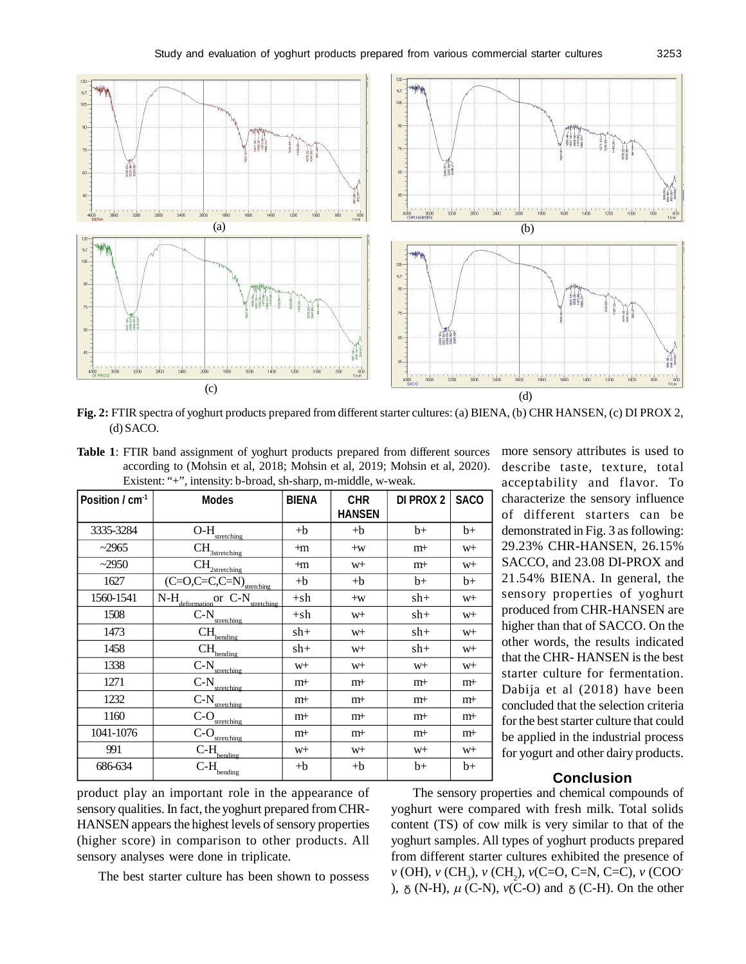

**Fig. 2:** FTIR spectra of yoghurt products prepared from different starter cultures: (a) BIENA, (b) CHR HANSEN, (c) DI PROX 2, (d) SACO.

**Table 1**: FTIR band assignment of yoghurt products prepared from different sources according to (Mohsin et al, 2018; Mohsin et al, 2019; Mohsin et al, 2020). Existent: "+", intensity: b-broad, sh-sharp, m-middle, w-weak.

| Position / cm <sup>-1</sup> | <b>Modes</b>                                                                            | <b>BIENA</b>   | <b>CHR</b><br><b>HANSEN</b> | <b>DI PROX 2</b> | <b>SACO</b>    |  |  |  |
|-----------------------------|-----------------------------------------------------------------------------------------|----------------|-----------------------------|------------------|----------------|--|--|--|
| 3335-3284                   | $\overline{\text{O-H}}_{\underline{\text{stretching}}}$                                 | $+{\bf b}$     | $+b$                        | $b+$             | $b+$           |  |  |  |
| ~2965                       | $\overline{\text{CH}}_{\underline{\text{3stretching}}}$                                 | $+m$           | $+W$                        | $m+$             | W <sup>+</sup> |  |  |  |
| $-2950$                     | $\overline{\text{CH}}_{\underline{\text{2stretching}}}_{\underline{\text{2stretching}}$ | $+m$           | W <sup>+</sup>              | $m+$             | W <sup>+</sup> |  |  |  |
| 1627                        | $\overline{(C=O, C=C, C=N)}$ <sub>stretching</sub>                                      | $+{\bf b}$     | $+b$                        | $b+$             | $b+$           |  |  |  |
| 1560-1541                   | N-H <sub>deformation</sub> or C-N <sub>stretching</sub>                                 | $+sh$          | $+W$                        | $sh+$            | W <sup>+</sup> |  |  |  |
| 1508                        | $\overline{C}\text{-}\underline{N}_{\underline{\text{stretching}}}$                     | $+sh$          | W <sup>+</sup>              | $sh+$            | W <sup>+</sup> |  |  |  |
| 1473                        | $\mathrm{\bar{C}\bar{H}}_{\underline{\text{bending}}}$                                  | sh+            | W <sup>+</sup>              | $sh+$            | W <sup>+</sup> |  |  |  |
| 1458                        | $\mathrm{\tilde{C}\textbf{H}_{bending}}$                                                | $sh+$          | W <sup>+</sup>              | $sh+$            | W <sup>+</sup> |  |  |  |
| 1338                        | $\overline{C\text{-}N}_{\text{stretching.}}$                                            | W <sup>+</sup> | W <sup>+</sup>              | W <sup>+</sup>   | W <sup>+</sup> |  |  |  |
| 1271                        | $\overline{C}$ - $\frac{N}{\text{stretching}}$                                          | $m+$           | $m+$                        | $m+$             | $m+$           |  |  |  |
| 1232                        | $\overline{C}\text{-}N_{\underline{\text{stretching}}}$                                 | $m+$           | $m+$                        | m+               | $m+$           |  |  |  |
| 1160                        | $\overline{C}\text{-}\underline{O}_{\underline{\text{stretching}}}$                     | $m+$           | $m+$                        | m+               | $m+$           |  |  |  |
| 1041-1076                   | $\overline{C}$ -O <sub>stretching</sub>                                                 | $m+$           | $m+$                        | $m+$             | $m+$           |  |  |  |
| 991                         | $\overline{\text{C-}}\text{H}_{\text{bending}}$                                         | W <sup>+</sup> | W <sup>+</sup>              | W <sup>+</sup>   | W <sup>+</sup> |  |  |  |
| 686-634                     | $\overset{\textstyle\frown}{\mathbf{C}}\text{-}\mathbf{H}_{\text{bending}}$             | $+b$           | $+b$                        | b+               | $b+$           |  |  |  |

more sensory attributes is used to describe taste, texture, total acceptability and flavor. To characterize the sensory influence of different starters can be demonstrated in Fig. 3 as following: 29.23% CHR-HANSEN, 26.15% SACCO, and 23.08 DI-PROX and 21.54% BIENA. In general, the sensory properties of yoghurt produced from CHR-HANSEN are higher than that of SACCO. On the other words, the results indicated that the CHR- HANSEN is the best starter culture for fermentation. Dabija et al (2018) have been concluded that the selection criteria for the best starter culture that could be applied in the industrial process for yogurt and other dairy products.

# **Conclusion**

product play an important role in the appearance of sensory qualities. In fact, the yoghurt prepared from CHR-HANSEN appears the highest levels of sensory properties (higher score) in comparison to other products. All sensory analyses were done in triplicate.

The best starter culture has been shown to possess

The sensory properties and chemical compounds of yoghurt were compared with fresh milk. Total solids content (TS) of cow milk is very similar to that of the yoghurt samples. All types of yoghurt products prepared from different starter cultures exhibited the presence of *v* (OH), *v* (CH<sub>3</sub>), *v* (CH<sub>2</sub>), *v*(C=O, C=N, C=C), *v* (COO-),  $\delta$  (N-H),  $\mu$  (C-N),  $\nu$ (C-O) and  $\delta$  (C-H). On the other